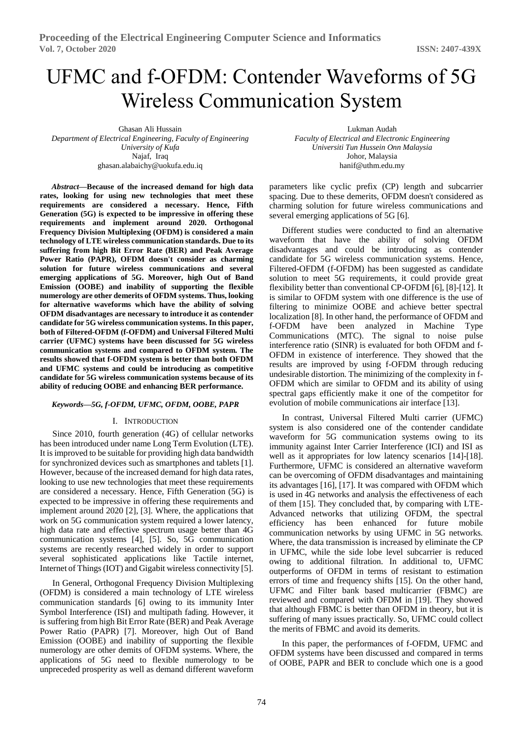# UFMC and f-OFDM: Contender Waveforms of 5G Wireless Communication System

Ghasan Ali Hussain *Department of Electrical Engineering, Faculty of Engineering University of Kufa* Najaf, Iraq ghasan.alabaichy@uokufa.edu.iq

*Abstract***—Because of the increased demand for high data rates, looking for using new technologies that meet these requirements are considered a necessary. Hence, Fifth Generation (5G) is expected to be impressive in offering these requirements and implement around 2020. Orthogonal Frequency Division Multiplexing (OFDM) is considered a main technology of LTE wireless communication standards. Due to its suffering from high Bit Error Rate (BER) and Peak Average Power Ratio (PAPR), OFDM doesn't consider as charming solution for future wireless communications and several emerging applications of 5G. Moreover, high Out of Band Emission (OOBE) and inability of supporting the flexible numerology are other demerits of OFDM systems. Thus, looking for alternative waveforms which have the ability of solving OFDM disadvantages are necessary to introduce it as contender candidate for 5G wireless communication systems. In this paper, both of Filtered-OFDM (f-OFDM) and Universal Filtered Multi carrier (UFMC) systems have been discussed for 5G wireless communication systems and compared to OFDM system. The results showed that f-OFDM system is better than both OFDM and UFMC systems and could be introducing as competitive candidate for 5G wireless communication systems because of its ability of reducing OOBE and enhancing BER performance.**

## *Keywords—5G, f-OFDM, UFMC, OFDM, OOBE, PAPR*

### I. INTRODUCTION

Since 2010, fourth generation (4G) of cellular networks has been introduced under name Long Term Evolution (LTE). It is improved to be suitable for providing high data bandwidth for synchronized devices such as smartphones and tablets [1]. However, because of the increased demand for high data rates, looking to use new technologies that meet these requirements are considered a necessary. Hence, Fifth Generation (5G) is expected to be impressive in offering these requirements and implement around 2020 [2], [3]. Where, the applications that work on 5G communication system required a lower latency, high data rate and effective spectrum usage better than 4G communication systems [4], [5]. So, 5G communication systems are recently researched widely in order to support several sophisticated applications like Tactile internet, Internet of Things (IOT) and Gigabit wireless connectivity [5].

In General, Orthogonal Frequency Division Multiplexing (OFDM) is considered a main technology of LTE wireless communication standards [6] owing to its immunity Inter Symbol Interference (ISI) and multipath fading. However, it is suffering from high Bit Error Rate (BER) and Peak Average Power Ratio (PAPR) [7]. Moreover, high Out of Band Emission (OOBE) and inability of supporting the flexible numerology are other demits of OFDM systems. Where, the applications of 5G need to flexible numerology to be unpreceded prosperity as well as demand different waveform

Lukman Audah *Faculty of Electrical and Electronic Engineering Universiti Tun Hussein Onn Malaysia* Johor, Malaysia hanif@uthm.edu.my

parameters like cyclic prefix (CP) length and subcarrier spacing. Due to these demerits, OFDM doesn't considered as charming solution for future wireless communications and several emerging applications of 5G [6].

Different studies were conducted to find an alternative waveform that have the ability of solving OFDM disadvantages and could be introducing as contender candidate for 5G wireless communication systems. Hence, Filtered-OFDM (f-OFDM) has been suggested as candidate solution to meet 5G requirements, it could provide great flexibility better than conventional CP-OFDM [6], [8]-[12]. It is similar to OFDM system with one difference is the use of filtering to minimize OOBE and achieve better spectral localization [8]. In other hand, the performance of OFDM and f-OFDM have been analyzed in Machine Type Communications (MTC). The signal to noise pulse interference ratio (SINR) is evaluated for both OFDM and f-OFDM in existence of interference. They showed that the results are improved by using f-OFDM through reducing undesirable distortion. The minimizing of the complexity in f-OFDM which are similar to OFDM and its ability of using spectral gaps efficiently make it one of the competitor for evolution of mobile communications air interface [13].

In contrast, Universal Filtered Multi carrier (UFMC) system is also considered one of the contender candidate waveform for 5G communication systems owing to its immunity against Inter Carrier Interference (ICI) and ISI as well as it appropriates for low latency scenarios [14]-[18]. Furthermore, UFMC is considered an alternative waveform can be overcoming of OFDM disadvantages and maintaining its advantages [16], [17]. It was compared with OFDM which is used in 4G networks and analysis the effectiveness of each of them [15]. They concluded that, by comparing with LTE-Advanced networks that utilizing OFDM, the spectral efficiency has been enhanced for future mobile communication networks by using UFMC in 5G networks. Where, the data transmission is increased by eliminate the CP in UFMC, while the side lobe level subcarrier is reduced owing to additional filtration. In additional to, UFMC outperforms of OFDM in terms of resistant to estimation errors of time and frequency shifts [15]. On the other hand, UFMC and Filter bank based multicarrier (FBMC) are reviewed and compared with OFDM in [19]. They showed that although FBMC is better than OFDM in theory, but it is suffering of many issues practically. So, UFMC could collect the merits of FBMC and avoid its demerits.

In this paper, the performances of f-OFDM, UFMC and OFDM systems have been discussed and compared in terms of OOBE, PAPR and BER to conclude which one is a good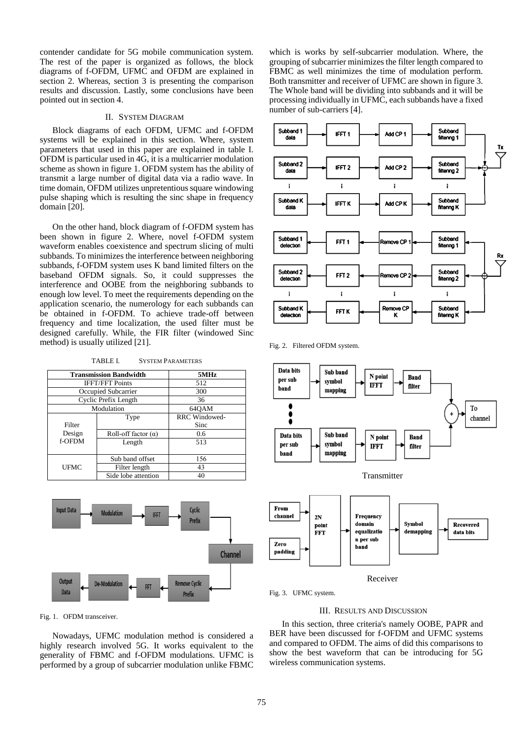contender candidate for 5G mobile communication system. The rest of the paper is organized as follows, the block diagrams of f-OFDM, UFMC and OFDM are explained in section 2. Whereas, section 3 is presenting the comparison results and discussion. Lastly, some conclusions have been pointed out in section 4.

# II. SYSTEM DIAGRAM

Block diagrams of each OFDM, UFMC and f-OFDM systems will be explained in this section. Where, system parameters that used in this paper are explained in table I. OFDM is particular used in 4G, it is a multicarrier modulation scheme as shown in figure 1. OFDM system has the ability of transmit a large number of digital data via a radio wave. In time domain, OFDM utilizes unpretentious square windowing pulse shaping which is resulting the sinc shape in frequency domain [20].

On the other hand, block diagram of f-OFDM system has been shown in figure 2. Where, novel f-OFDM system waveform enables coexistence and spectrum slicing of multi subbands. To minimizes the interference between neighboring subbands, f-OFDM system uses K band limited filters on the baseband OFDM signals. So, it could suppresses the interference and OOBE from the neighboring subbands to enough low level. To meet the requirements depending on the application scenario, the numerology for each subbands can be obtained in f-OFDM. To achieve trade-off between frequency and time localization, the used filter must be designed carefully. While, the FIR filter (windowed Sinc method) is usually utilized [21].

TABLE I. SYSTEM PARAMETERS

| <b>Transmission Bandwidth</b> |                            | 5MHz                 |  |
|-------------------------------|----------------------------|----------------------|--|
| <b>IFFT/FFT Points</b>        |                            | 512                  |  |
| Occupied Subcarrier           |                            | 300                  |  |
| Cyclic Prefix Length          |                            | 36                   |  |
| Modulation                    |                            | 64OAM                |  |
|                               | Type                       | <b>RRC</b> Windowed- |  |
| Filter                        |                            | Sinc                 |  |
| Design                        | Roll-off factor $(\alpha)$ | 0.6                  |  |
| f-OFDM                        | Length                     | 513                  |  |
|                               |                            |                      |  |
|                               | Sub band offset            | 156                  |  |
| UFMC                          | Filter length              | 43                   |  |
|                               | Side lobe attention        | 40                   |  |



which is works by self-subcarrier modulation. Where, the grouping of subcarrier minimizes the filter length compared to FBMC as well minimizes the time of modulation perform. Both transmitter and receiver of UFMC are shown in figure 3. The Whole band will be dividing into subbands and it will be processing individually in UFMC, each subbands have a fixed number of sub-carriers [4].



Fig. 2. Filtered OFDM system.



Fig. 3. UFMC system.

## III. RESULTS AND DISCUSSION

In this section, three criteria's namely OOBE, PAPR and BER have been discussed for f-OFDM and UFMC systems and compared to OFDM. The aims of did this comparisons to show the best waveform that can be introducing for 5G wireless communication systems.



Nowadays, UFMC modulation method is considered a highly research involved 5G. It works equivalent to the generality of FBMC and f-OFDM modulations. UFMC is performed by a group of subcarrier modulation unlike FBMC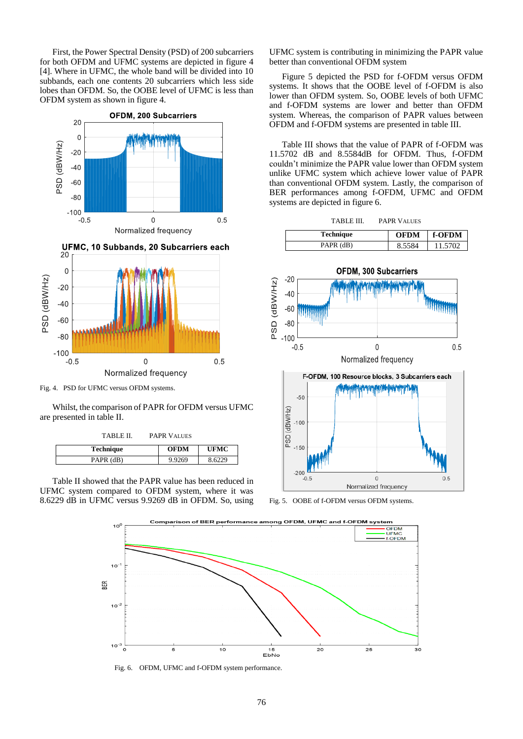First, the Power Spectral Density (PSD) of 200 subcarriers for both OFDM and UFMC systems are depicted in figure 4 [4]. Where in UFMC, the whole band will be divided into 10 subbands, each one contents 20 subcarriers which less side lobes than OFDM. So, the OOBE level of UFMC is less than OFDM system as shown in figure 4.



Fig. 4. PSD for UFMC versus OFDM systems.

 $-0.5$ 

Whilst, the comparison of PAPR for OFDM versus UFMC are presented in table II.

 $\overline{0}$ 

Normalized frequency

 $0.5$ 

| TABLE II.        | <b>PAPR VALUES</b> |             |
|------------------|--------------------|-------------|
| <b>Technique</b> | <b>OFDM</b>        | <b>UFMC</b> |
| PAPR (dB)        | 9.9269             | 8.6229      |

Table II showed that the PAPR value has been reduced in UFMC system compared to OFDM system, where it was 8.6229 dB in UFMC versus 9.9269 dB in OFDM. So, using

UFMC system is contributing in minimizing the PAPR value better than conventional OFDM system

Figure 5 depicted the PSD for f-OFDM versus OFDM systems. It shows that the OOBE level of f-OFDM is also lower than OFDM system. So, OOBE levels of both UFMC and f-OFDM systems are lower and better than OFDM system. Whereas, the comparison of PAPR values between OFDM and f-OFDM systems are presented in table III.

Table III shows that the value of PAPR of f-OFDM was 11.5702 dB and 8.5584dB for OFDM. Thus, f-OFDM couldn't minimize the PAPR value lower than OFDM system unlike UFMC system which achieve lower value of PAPR than conventional OFDM system. Lastly, the comparison of BER performances among f-OFDM, UFMC and OFDM systems are depicted in figure 6.

| <b>Technique</b> | <b>OFDM</b> | $\parallel$ f-OFDM |
|------------------|-------------|--------------------|
| PAPR (dB)        | 8.5584      | 11.5702            |



Fig. 5. OOBE of f-OFDM versus OFDM systems.



Fig. 6. OFDM, UFMC and f-OFDM system performance.